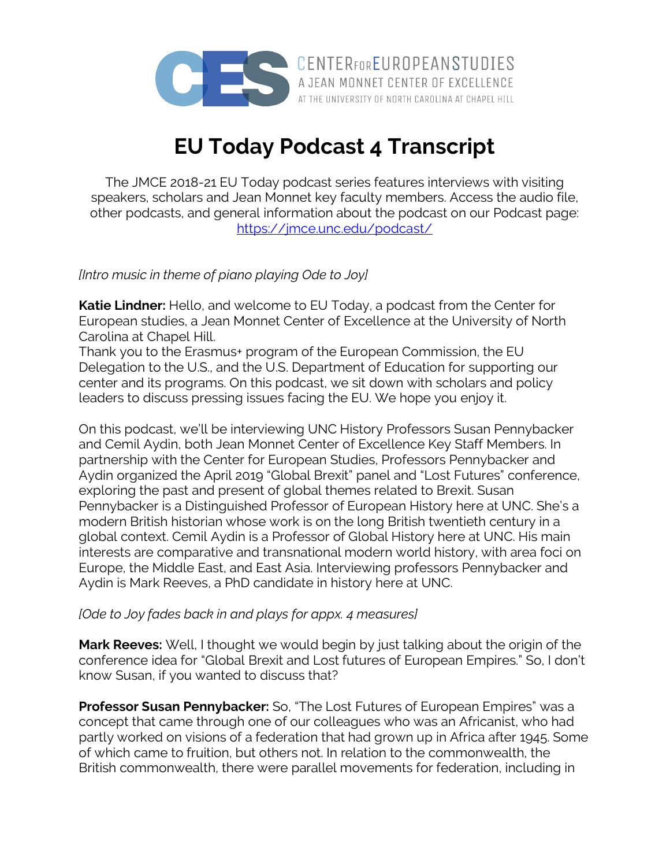

**EU Today Podcast 4 Transcript**

The JMCE 2018-21 EU Today podcast series features interviews with visiting speakers, scholars and Jean Monnet key faculty members. Access the audio file, other podcasts, and general information about the podcast on our Podcast page: https://jmce.unc.edu/podcast/

*[Intro music in theme of piano playing Ode to Joy]*

**Katie Lindner:** Hello, and welcome to EU Today, a podcast from the Center for European studies, a Jean Monnet Center of Excellence at the University of North Carolina at Chapel Hill.

Thank you to the Erasmus+ program of the European Commission, the EU Delegation to the U.S., and the U.S. Department of Education for supporting our center and its programs. On this podcast, we sit down with scholars and policy leaders to discuss pressing issues facing the EU. We hope you enjoy it.

On this podcast, we'll be interviewing UNC History Professors Susan Pennybacker and Cemil Aydin, both Jean Monnet Center of Excellence Key Staff Members. In partnership with the Center for European Studies, Professors Pennybacker and Aydin organized the April 2019 "Global Brexit" panel and "Lost Futures" conference, exploring the past and present of global themes related to Brexit. Susan Pennybacker is a Distinguished Professor of European History here at UNC. She's a modern British historian whose work is on the long British twentieth century in a global context. Cemil Aydin is a Professor of Global History here at UNC. His main interests are comparative and transnational modern world history, with area foci on Europe, the Middle East, and East Asia. Interviewing professors Pennybacker and Aydin is Mark Reeves, a PhD candidate in history here at UNC.

## *[Ode to Joy fades back in and plays for appx. 4 measures]*

**Mark Reeves:** Well, I thought we would begin by just talking about the origin of the conference idea for "Global Brexit and Lost futures of European Empires." So, I don't know Susan, if you wanted to discuss that?

**Professor Susan Pennybacker:** So, "The Lost Futures of European Empires" was a concept that came through one of our colleagues who was an Africanist, who had partly worked on visions of a federation that had grown up in Africa after 1945. Some of which came to fruition, but others not. In relation to the commonwealth, the British commonwealth, there were parallel movements for federation, including in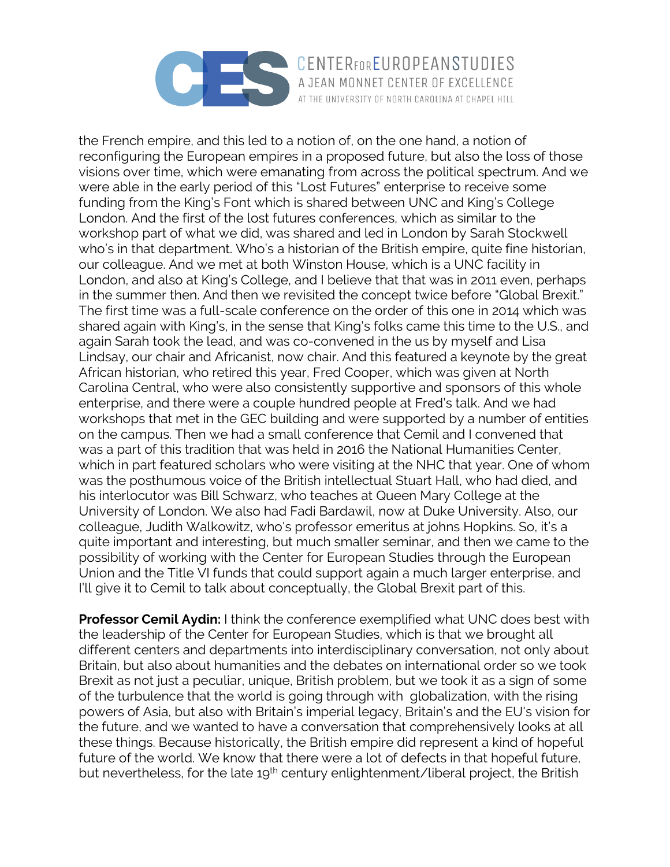

the French empire, and this led to a notion of, on the one hand, a notion of reconfiguring the European empires in a proposed future, but also the loss of those visions over time, which were emanating from across the political spectrum. And we were able in the early period of this "Lost Futures" enterprise to receive some funding from the King's Font which is shared between UNC and King's College London. And the first of the lost futures conferences, which as similar to the workshop part of what we did, was shared and led in London by Sarah Stockwell who's in that department. Who's a historian of the British empire, quite fine historian, our colleague. And we met at both Winston House, which is a UNC facility in London, and also at King's College, and I believe that that was in 2011 even, perhaps in the summer then. And then we revisited the concept twice before "Global Brexit." The first time was a full-scale conference on the order of this one in 2014 which was shared again with King's, in the sense that King's folks came this time to the U.S., and again Sarah took the lead, and was co-convened in the us by myself and Lisa Lindsay, our chair and Africanist, now chair. And this featured a keynote by the great African historian, who retired this year, Fred Cooper, which was given at North Carolina Central, who were also consistently supportive and sponsors of this whole enterprise, and there were a couple hundred people at Fred's talk. And we had workshops that met in the GEC building and were supported by a number of entities on the campus. Then we had a small conference that Cemil and I convened that was a part of this tradition that was held in 2016 the National Humanities Center, which in part featured scholars who were visiting at the NHC that year. One of whom was the posthumous voice of the British intellectual Stuart Hall, who had died, and his interlocutor was Bill Schwarz, who teaches at Queen Mary College at the University of London. We also had Fadi Bardawil, now at Duke University. Also, our colleague, Judith Walkowitz, who's professor emeritus at johns Hopkins. So, it's a quite important and interesting, but much smaller seminar, and then we came to the possibility of working with the Center for European Studies through the European Union and the Title VI funds that could support again a much larger enterprise, and I'll give it to Cemil to talk about conceptually, the Global Brexit part of this.

AT THE UNIVERSITY OF NORTH CAROLINA AT CHAPEL HILL

**Professor Cemil Aydin:** I think the conference exemplified what UNC does best with the leadership of the Center for European Studies, which is that we brought all different centers and departments into interdisciplinary conversation, not only about Britain, but also about humanities and the debates on international order so we took Brexit as not just a peculiar, unique, British problem, but we took it as a sign of some of the turbulence that the world is going through with globalization, with the rising powers of Asia, but also with Britain's imperial legacy, Britain's and the EU's vision for the future, and we wanted to have a conversation that comprehensively looks at all these things. Because historically, the British empire did represent a kind of hopeful future of the world. We know that there were a lot of defects in that hopeful future, but nevertheless, for the late 19<sup>th</sup> century enlightenment/liberal project, the British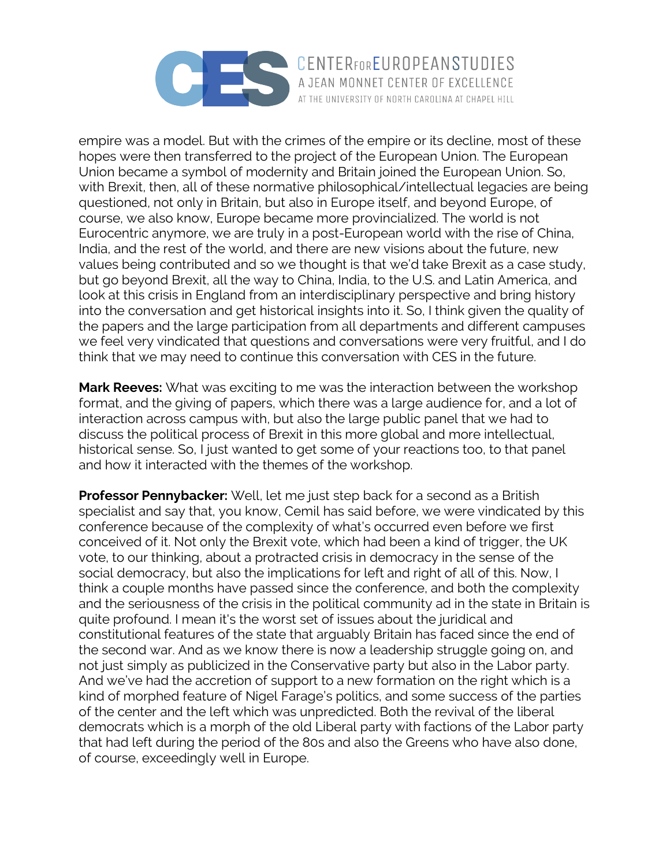

empire was a model. But with the crimes of the empire or its decline, most of these hopes were then transferred to the project of the European Union. The European Union became a symbol of modernity and Britain joined the European Union. So, with Brexit, then, all of these normative philosophical/intellectual legacies are being questioned, not only in Britain, but also in Europe itself, and beyond Europe, of course, we also know, Europe became more provincialized. The world is not Eurocentric anymore, we are truly in a post-European world with the rise of China, India, and the rest of the world, and there are new visions about the future, new values being contributed and so we thought is that we'd take Brexit as a case study, but go beyond Brexit, all the way to China, India, to the U.S. and Latin America, and look at this crisis in England from an interdisciplinary perspective and bring history into the conversation and get historical insights into it. So, I think given the quality of the papers and the large participation from all departments and different campuses we feel very vindicated that questions and conversations were very fruitful, and I do think that we may need to continue this conversation with CES in the future.

**Mark Reeves:** What was exciting to me was the interaction between the workshop format, and the giving of papers, which there was a large audience for, and a lot of interaction across campus with, but also the large public panel that we had to discuss the political process of Brexit in this more global and more intellectual, historical sense. So, I just wanted to get some of your reactions too, to that panel and how it interacted with the themes of the workshop.

**Professor Pennybacker:** Well, let me just step back for a second as a British specialist and say that, you know, Cemil has said before, we were vindicated by this conference because of the complexity of what's occurred even before we first conceived of it. Not only the Brexit vote, which had been a kind of trigger, the UK vote, to our thinking, about a protracted crisis in democracy in the sense of the social democracy, but also the implications for left and right of all of this. Now, I think a couple months have passed since the conference, and both the complexity and the seriousness of the crisis in the political community ad in the state in Britain is quite profound. I mean it's the worst set of issues about the juridical and constitutional features of the state that arguably Britain has faced since the end of the second war. And as we know there is now a leadership struggle going on, and not just simply as publicized in the Conservative party but also in the Labor party. And we've had the accretion of support to a new formation on the right which is a kind of morphed feature of Nigel Farage's politics, and some success of the parties of the center and the left which was unpredicted. Both the revival of the liberal democrats which is a morph of the old Liberal party with factions of the Labor party that had left during the period of the 80s and also the Greens who have also done, of course, exceedingly well in Europe.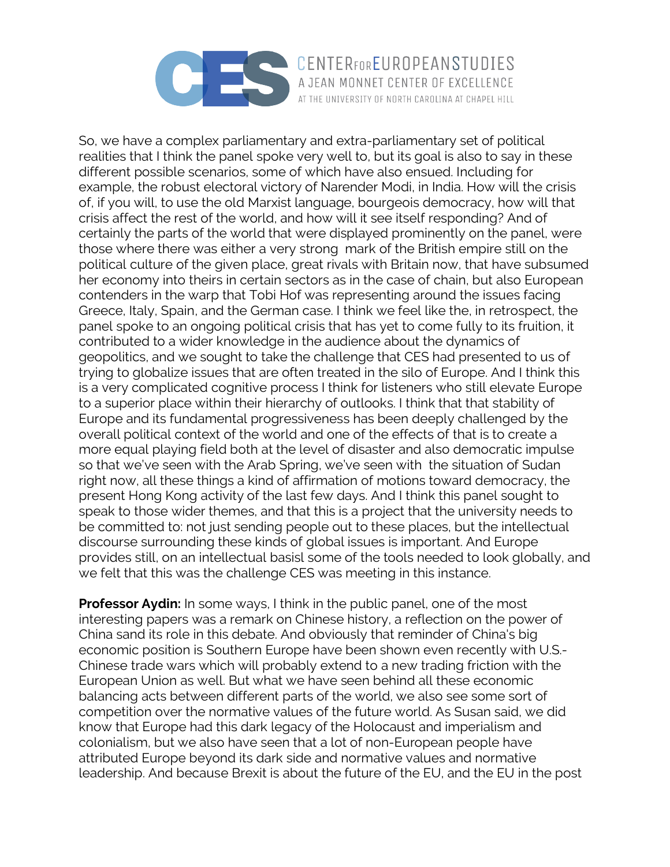

So, we have a complex parliamentary and extra-parliamentary set of political realities that I think the panel spoke very well to, but its goal is also to say in these different possible scenarios, some of which have also ensued. Including for example, the robust electoral victory of Narender Modi, in India. How will the crisis of, if you will, to use the old Marxist language, bourgeois democracy, how will that crisis affect the rest of the world, and how will it see itself responding? And of certainly the parts of the world that were displayed prominently on the panel, were those where there was either a very strong mark of the British empire still on the political culture of the given place, great rivals with Britain now, that have subsumed her economy into theirs in certain sectors as in the case of chain, but also European contenders in the warp that Tobi Hof was representing around the issues facing Greece, Italy, Spain, and the German case. I think we feel like the, in retrospect, the panel spoke to an ongoing political crisis that has yet to come fully to its fruition, it contributed to a wider knowledge in the audience about the dynamics of geopolitics, and we sought to take the challenge that CES had presented to us of trying to globalize issues that are often treated in the silo of Europe. And I think this is a very complicated cognitive process I think for listeners who still elevate Europe to a superior place within their hierarchy of outlooks. I think that that stability of Europe and its fundamental progressiveness has been deeply challenged by the overall political context of the world and one of the effects of that is to create a more equal playing field both at the level of disaster and also democratic impulse so that we've seen with the Arab Spring, we've seen with the situation of Sudan right now, all these things a kind of affirmation of motions toward democracy, the present Hong Kong activity of the last few days. And I think this panel sought to speak to those wider themes, and that this is a project that the university needs to be committed to: not just sending people out to these places, but the intellectual discourse surrounding these kinds of global issues is important. And Europe provides still, on an intellectual basisl some of the tools needed to look globally, and we felt that this was the challenge CES was meeting in this instance.

AT THE UNIVERSITY OF NORTH CAROLINA AT CHAPEL HILL

**Professor Aydin:** In some ways, I think in the public panel, one of the most interesting papers was a remark on Chinese history, a reflection on the power of China sand its role in this debate. And obviously that reminder of China's big economic position is Southern Europe have been shown even recently with U.S.- Chinese trade wars which will probably extend to a new trading friction with the European Union as well. But what we have seen behind all these economic balancing acts between different parts of the world, we also see some sort of competition over the normative values of the future world. As Susan said, we did know that Europe had this dark legacy of the Holocaust and imperialism and colonialism, but we also have seen that a lot of non-European people have attributed Europe beyond its dark side and normative values and normative leadership. And because Brexit is about the future of the EU, and the EU in the post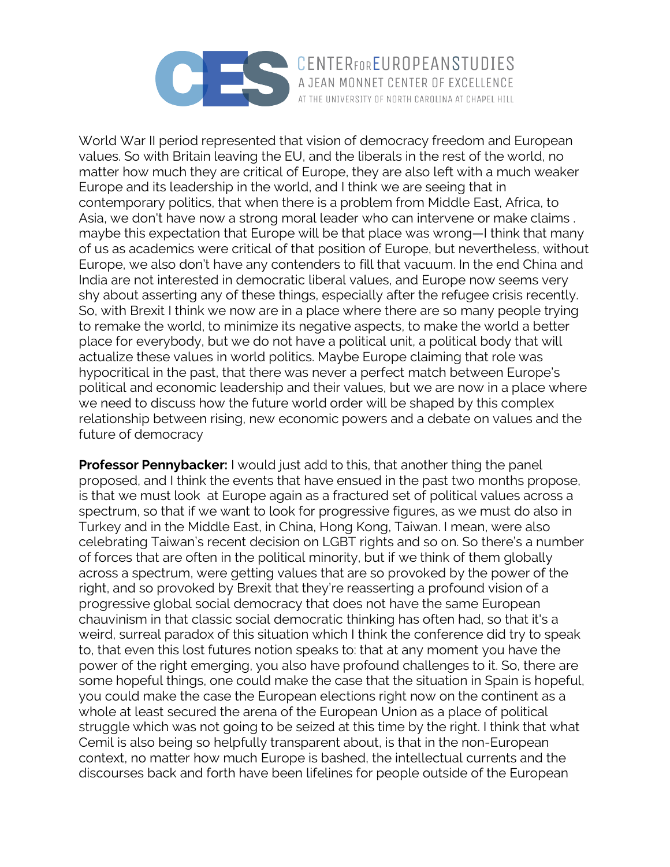

CENTERFOREUROPEANSTUDIES AT THE UNIVERSITY OF NORTH CAROLINA AT CHAPEL HILL

World War II period represented that vision of democracy freedom and European values. So with Britain leaving the EU, and the liberals in the rest of the world, no matter how much they are critical of Europe, they are also left with a much weaker Europe and its leadership in the world, and I think we are seeing that in contemporary politics, that when there is a problem from Middle East, Africa, to Asia, we don't have now a strong moral leader who can intervene or make claims . maybe this expectation that Europe will be that place was wrong—I think that many of us as academics were critical of that position of Europe, but nevertheless, without Europe, we also don't have any contenders to fill that vacuum. In the end China and India are not interested in democratic liberal values, and Europe now seems very shy about asserting any of these things, especially after the refugee crisis recently. So, with Brexit I think we now are in a place where there are so many people trying to remake the world, to minimize its negative aspects, to make the world a better place for everybody, but we do not have a political unit, a political body that will actualize these values in world politics. Maybe Europe claiming that role was hypocritical in the past, that there was never a perfect match between Europe's political and economic leadership and their values, but we are now in a place where we need to discuss how the future world order will be shaped by this complex relationship between rising, new economic powers and a debate on values and the future of democracy

**Professor Pennybacker:** I would just add to this, that another thing the panel proposed, and I think the events that have ensued in the past two months propose, is that we must look at Europe again as a fractured set of political values across a spectrum, so that if we want to look for progressive figures, as we must do also in Turkey and in the Middle East, in China, Hong Kong, Taiwan. I mean, were also celebrating Taiwan's recent decision on LGBT rights and so on. So there's a number of forces that are often in the political minority, but if we think of them globally across a spectrum, were getting values that are so provoked by the power of the right, and so provoked by Brexit that they're reasserting a profound vision of a progressive global social democracy that does not have the same European chauvinism in that classic social democratic thinking has often had, so that it's a weird, surreal paradox of this situation which I think the conference did try to speak to, that even this lost futures notion speaks to: that at any moment you have the power of the right emerging, you also have profound challenges to it. So, there are some hopeful things, one could make the case that the situation in Spain is hopeful, you could make the case the European elections right now on the continent as a whole at least secured the arena of the European Union as a place of political struggle which was not going to be seized at this time by the right. I think that what Cemil is also being so helpfully transparent about, is that in the non-European context, no matter how much Europe is bashed, the intellectual currents and the discourses back and forth have been lifelines for people outside of the European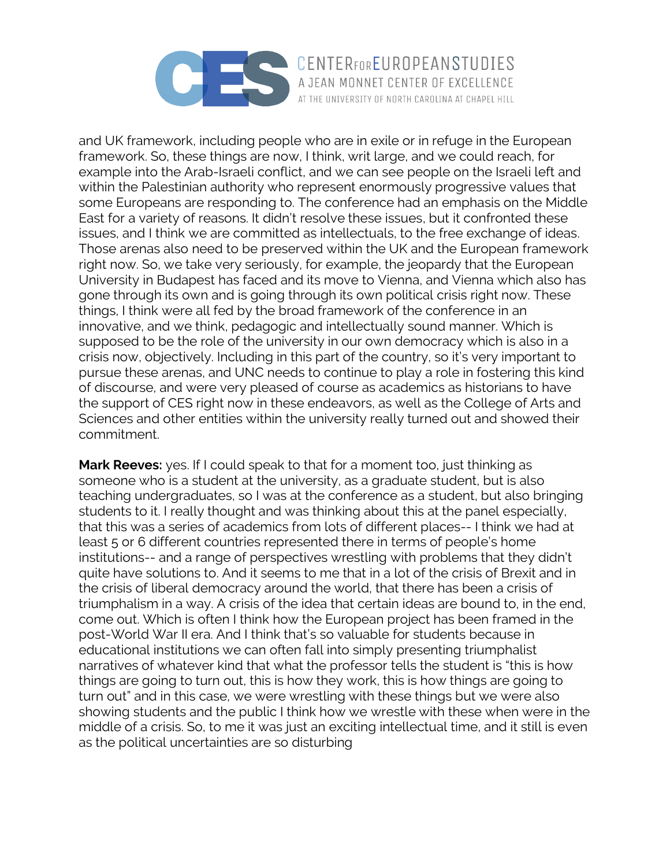

and UK framework, including people who are in exile or in refuge in the European framework. So, these things are now, I think, writ large, and we could reach, for example into the Arab-Israeli conflict, and we can see people on the Israeli left and within the Palestinian authority who represent enormously progressive values that some Europeans are responding to. The conference had an emphasis on the Middle East for a variety of reasons. It didn't resolve these issues, but it confronted these issues, and I think we are committed as intellectuals, to the free exchange of ideas. Those arenas also need to be preserved within the UK and the European framework right now. So, we take very seriously, for example, the jeopardy that the European University in Budapest has faced and its move to Vienna, and Vienna which also has gone through its own and is going through its own political crisis right now. These things, I think were all fed by the broad framework of the conference in an innovative, and we think, pedagogic and intellectually sound manner. Which is supposed to be the role of the university in our own democracy which is also in a crisis now, objectively. Including in this part of the country, so it's very important to pursue these arenas, and UNC needs to continue to play a role in fostering this kind of discourse, and were very pleased of course as academics as historians to have the support of CES right now in these endeavors, as well as the College of Arts and Sciences and other entities within the university really turned out and showed their commitment.

AT THE UNIVERSITY OF NORTH CAROLINA AT CHAPEL HILL

**Mark Reeves:** yes. If I could speak to that for a moment too, just thinking as someone who is a student at the university, as a graduate student, but is also teaching undergraduates, so I was at the conference as a student, but also bringing students to it. I really thought and was thinking about this at the panel especially, that this was a series of academics from lots of different places-- I think we had at least 5 or 6 different countries represented there in terms of people's home institutions-- and a range of perspectives wrestling with problems that they didn't quite have solutions to. And it seems to me that in a lot of the crisis of Brexit and in the crisis of liberal democracy around the world, that there has been a crisis of triumphalism in a way. A crisis of the idea that certain ideas are bound to, in the end, come out. Which is often I think how the European project has been framed in the post-World War II era. And I think that's so valuable for students because in educational institutions we can often fall into simply presenting triumphalist narratives of whatever kind that what the professor tells the student is "this is how things are going to turn out, this is how they work, this is how things are going to turn out" and in this case, we were wrestling with these things but we were also showing students and the public I think how we wrestle with these when were in the middle of a crisis. So, to me it was just an exciting intellectual time, and it still is even as the political uncertainties are so disturbing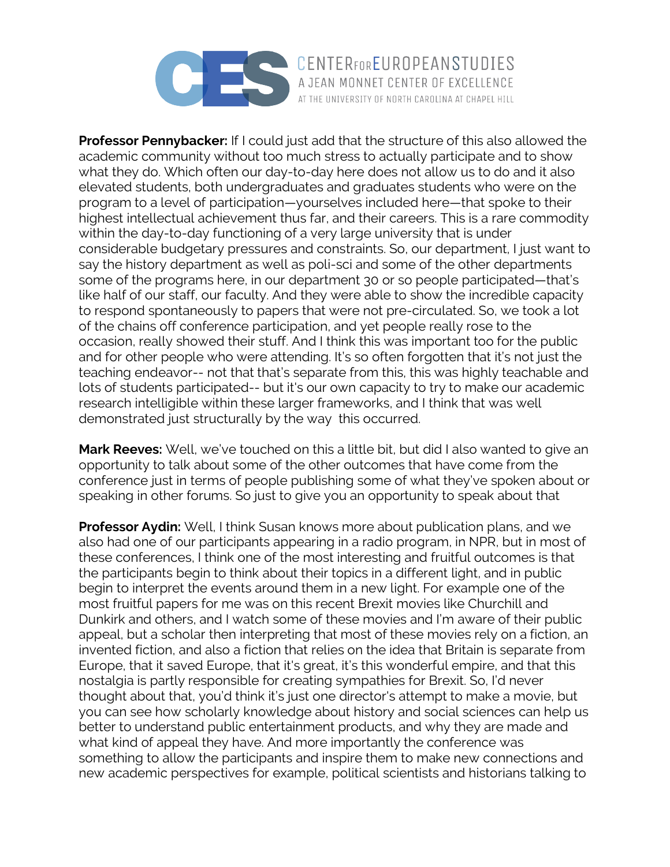

**Professor Pennybacker:** If I could just add that the structure of this also allowed the academic community without too much stress to actually participate and to show what they do. Which often our day-to-day here does not allow us to do and it also elevated students, both undergraduates and graduates students who were on the program to a level of participation—yourselves included here—that spoke to their highest intellectual achievement thus far, and their careers. This is a rare commodity within the day-to-day functioning of a very large university that is under considerable budgetary pressures and constraints. So, our department, I just want to say the history department as well as poli-sci and some of the other departments some of the programs here, in our department 30 or so people participated—that's like half of our staff, our faculty. And they were able to show the incredible capacity to respond spontaneously to papers that were not pre-circulated. So, we took a lot of the chains off conference participation, and yet people really rose to the occasion, really showed their stuff. And I think this was important too for the public and for other people who were attending. It's so often forgotten that it's not just the teaching endeavor-- not that that's separate from this, this was highly teachable and lots of students participated-- but it's our own capacity to try to make our academic research intelligible within these larger frameworks, and I think that was well demonstrated just structurally by the way this occurred.

AT THE UNIVERSITY OF NORTH CAROLINA AT CHAPEL HILL

**Mark Reeves:** Well, we've touched on this a little bit, but did I also wanted to give an opportunity to talk about some of the other outcomes that have come from the conference just in terms of people publishing some of what they've spoken about or speaking in other forums. So just to give you an opportunity to speak about that

**Professor Aydin:** Well, I think Susan knows more about publication plans, and we also had one of our participants appearing in a radio program, in NPR, but in most of these conferences, I think one of the most interesting and fruitful outcomes is that the participants begin to think about their topics in a different light, and in public begin to interpret the events around them in a new light. For example one of the most fruitful papers for me was on this recent Brexit movies like Churchill and Dunkirk and others, and I watch some of these movies and I'm aware of their public appeal, but a scholar then interpreting that most of these movies rely on a fiction, an invented fiction, and also a fiction that relies on the idea that Britain is separate from Europe, that it saved Europe, that it's great, it's this wonderful empire, and that this nostalgia is partly responsible for creating sympathies for Brexit. So, I'd never thought about that, you'd think it's just one director's attempt to make a movie, but you can see how scholarly knowledge about history and social sciences can help us better to understand public entertainment products, and why they are made and what kind of appeal they have. And more importantly the conference was something to allow the participants and inspire them to make new connections and new academic perspectives for example, political scientists and historians talking to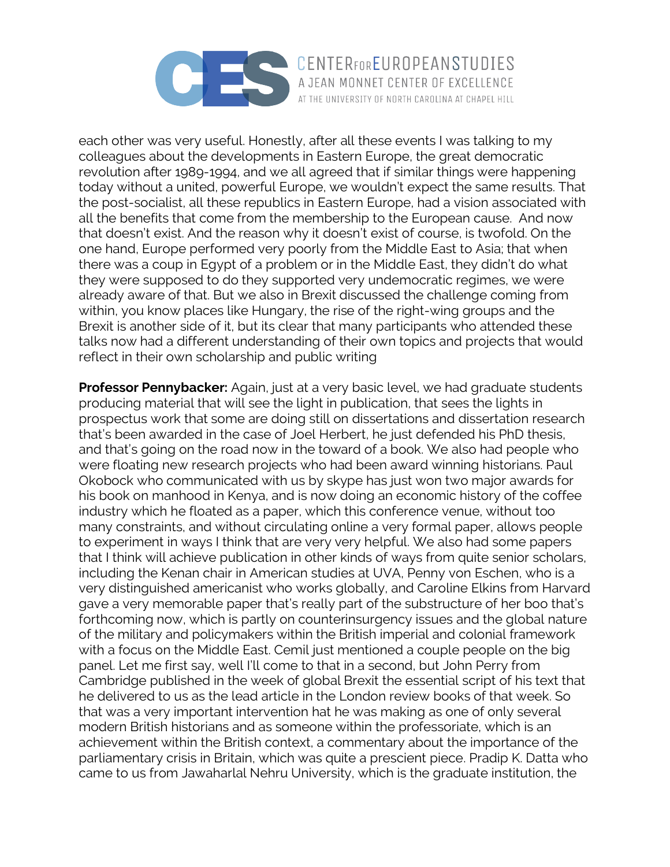

each other was very useful. Honestly, after all these events I was talking to my colleagues about the developments in Eastern Europe, the great democratic revolution after 1989-1994, and we all agreed that if similar things were happening today without a united, powerful Europe, we wouldn't expect the same results. That the post-socialist, all these republics in Eastern Europe, had a vision associated with all the benefits that come from the membership to the European cause. And now that doesn't exist. And the reason why it doesn't exist of course, is twofold. On the one hand, Europe performed very poorly from the Middle East to Asia; that when there was a coup in Egypt of a problem or in the Middle East, they didn't do what they were supposed to do they supported very undemocratic regimes, we were already aware of that. But we also in Brexit discussed the challenge coming from within, you know places like Hungary, the rise of the right-wing groups and the Brexit is another side of it, but its clear that many participants who attended these talks now had a different understanding of their own topics and projects that would reflect in their own scholarship and public writing

AT THE UNIVERSITY OF NORTH CAROLINA AT CHAPEL HILL

**Professor Pennybacker:** Again, just at a very basic level, we had graduate students producing material that will see the light in publication, that sees the lights in prospectus work that some are doing still on dissertations and dissertation research that's been awarded in the case of Joel Herbert, he just defended his PhD thesis, and that's going on the road now in the toward of a book. We also had people who were floating new research projects who had been award winning historians. Paul Okobock who communicated with us by skype has just won two major awards for his book on manhood in Kenya, and is now doing an economic history of the coffee industry which he floated as a paper, which this conference venue, without too many constraints, and without circulating online a very formal paper, allows people to experiment in ways I think that are very very helpful. We also had some papers that I think will achieve publication in other kinds of ways from quite senior scholars, including the Kenan chair in American studies at UVA, Penny von Eschen, who is a very distinguished americanist who works globally, and Caroline Elkins from Harvard gave a very memorable paper that's really part of the substructure of her boo that's forthcoming now, which is partly on counterinsurgency issues and the global nature of the military and policymakers within the British imperial and colonial framework with a focus on the Middle East. Cemil just mentioned a couple people on the big panel. Let me first say, well I'll come to that in a second, but John Perry from Cambridge published in the week of global Brexit the essential script of his text that he delivered to us as the lead article in the London review books of that week. So that was a very important intervention hat he was making as one of only several modern British historians and as someone within the professoriate, which is an achievement within the British context, a commentary about the importance of the parliamentary crisis in Britain, which was quite a prescient piece. Pradip K. Datta who came to us from Jawaharlal Nehru University, which is the graduate institution, the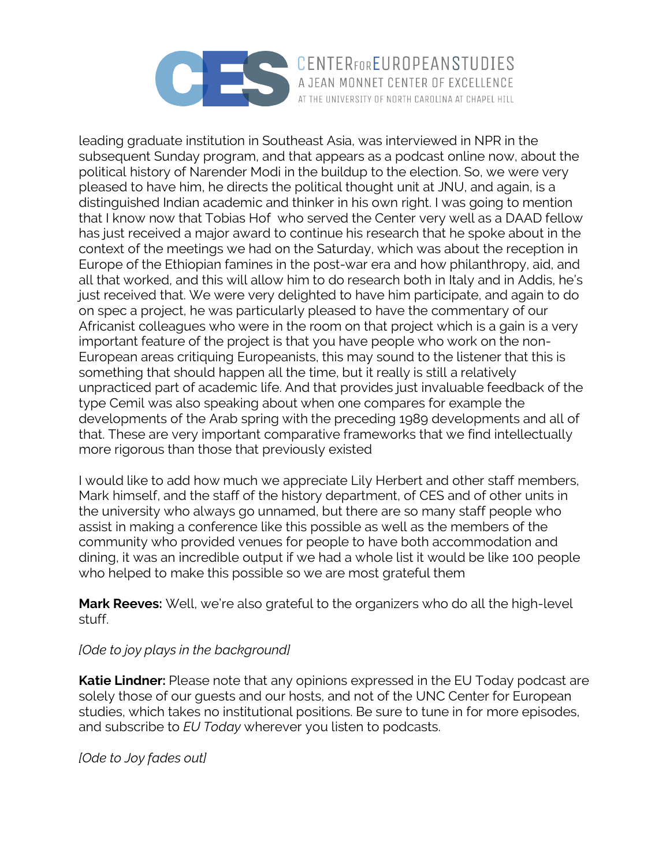

leading graduate institution in Southeast Asia, was interviewed in NPR in the subsequent Sunday program, and that appears as a podcast online now, about the political history of Narender Modi in the buildup to the election. So, we were very pleased to have him, he directs the political thought unit at JNU, and again, is a distinguished Indian academic and thinker in his own right. I was going to mention that I know now that Tobias Hof who served the Center very well as a DAAD fellow has just received a major award to continue his research that he spoke about in the context of the meetings we had on the Saturday, which was about the reception in Europe of the Ethiopian famines in the post-war era and how philanthropy, aid, and all that worked, and this will allow him to do research both in Italy and in Addis, he's just received that. We were very delighted to have him participate, and again to do on spec a project, he was particularly pleased to have the commentary of our Africanist colleagues who were in the room on that project which is a gain is a very important feature of the project is that you have people who work on the non-European areas critiquing Europeanists, this may sound to the listener that this is something that should happen all the time, but it really is still a relatively unpracticed part of academic life. And that provides just invaluable feedback of the type Cemil was also speaking about when one compares for example the developments of the Arab spring with the preceding 1989 developments and all of that. These are very important comparative frameworks that we find intellectually more rigorous than those that previously existed

I would like to add how much we appreciate Lily Herbert and other staff members, Mark himself, and the staff of the history department, of CES and of other units in the university who always go unnamed, but there are so many staff people who assist in making a conference like this possible as well as the members of the community who provided venues for people to have both accommodation and dining, it was an incredible output if we had a whole list it would be like 100 people who helped to make this possible so we are most grateful them

**Mark Reeves:** Well, we're also grateful to the organizers who do all the high-level stuff.

## *[Ode to joy plays in the background]*

**Katie Lindner:** Please note that any opinions expressed in the EU Today podcast are solely those of our guests and our hosts, and not of the UNC Center for European studies, which takes no institutional positions. Be sure to tune in for more episodes, and subscribe to *EU Today* wherever you listen to podcasts.

*[Ode to Joy fades out]*